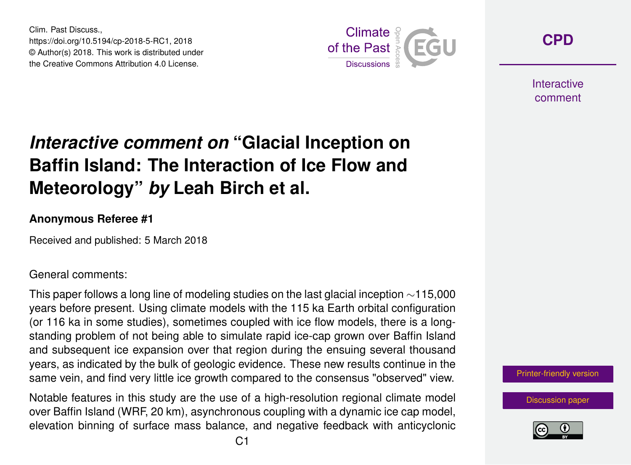Clim. Past Discuss., https://doi.org/10.5194/cp-2018-5-RC1, 2018 © Author(s) 2018. This work is distributed under the Creative Commons Attribution 4.0 License.



**[CPD](https://www.clim-past-discuss.net/)**

**Interactive** comment

## *Interactive comment on* **"Glacial Inception on Baffin Island: The Interaction of Ice Flow and Meteorology"** *by* **Leah Birch et al.**

## **Anonymous Referee #1**

Received and published: 5 March 2018

General comments:

This paper follows a long line of modeling studies on the last glacial inception  $\sim$ 115,000 years before present. Using climate models with the 115 ka Earth orbital configuration (or 116 ka in some studies), sometimes coupled with ice flow models, there is a longstanding problem of not being able to simulate rapid ice-cap grown over Baffin Island and subsequent ice expansion over that region during the ensuing several thousand years, as indicated by the bulk of geologic evidence. These new results continue in the same vein, and find very little ice growth compared to the consensus "observed" view.

Notable features in this study are the use of a high-resolution regional climate model over Baffin Island (WRF, 20 km), asynchronous coupling with a dynamic ice cap model, elevation binning of surface mass balance, and negative feedback with anticyclonic

[Printer-friendly version](https://www.clim-past-discuss.net/cp-2018-5/cp-2018-5-RC1-print.pdf)

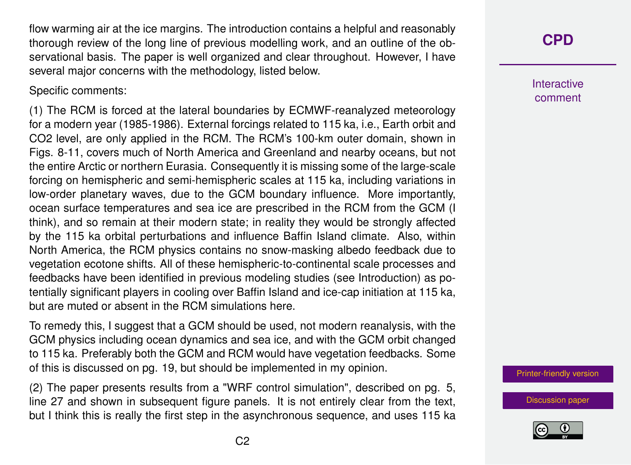flow warming air at the ice margins. The introduction contains a helpful and reasonably thorough review of the long line of previous modelling work, and an outline of the observational basis. The paper is well organized and clear throughout. However, I have several major concerns with the methodology, listed below.

Specific comments:

(1) The RCM is forced at the lateral boundaries by ECMWF-reanalyzed meteorology for a modern year (1985-1986). External forcings related to 115 ka, i.e., Earth orbit and CO2 level, are only applied in the RCM. The RCM's 100-km outer domain, shown in Figs. 8-11, covers much of North America and Greenland and nearby oceans, but not the entire Arctic or northern Eurasia. Consequently it is missing some of the large-scale forcing on hemispheric and semi-hemispheric scales at 115 ka, including variations in low-order planetary waves, due to the GCM boundary influence. More importantly, ocean surface temperatures and sea ice are prescribed in the RCM from the GCM (I think), and so remain at their modern state; in reality they would be strongly affected by the 115 ka orbital perturbations and influence Baffin Island climate. Also, within North America, the RCM physics contains no snow-masking albedo feedback due to vegetation ecotone shifts. All of these hemispheric-to-continental scale processes and feedbacks have been identified in previous modeling studies (see Introduction) as potentially significant players in cooling over Baffin Island and ice-cap initiation at 115 ka, but are muted or absent in the RCM simulations here.

To remedy this, I suggest that a GCM should be used, not modern reanalysis, with the GCM physics including ocean dynamics and sea ice, and with the GCM orbit changed to 115 ka. Preferably both the GCM and RCM would have vegetation feedbacks. Some of this is discussed on pg. 19, but should be implemented in my opinion.

(2) The paper presents results from a "WRF control simulation", described on pg. 5, line 27 and shown in subsequent figure panels. It is not entirely clear from the text, but I think this is really the first step in the asynchronous sequence, and uses 115 ka



**Interactive** comment

[Printer-friendly version](https://www.clim-past-discuss.net/cp-2018-5/cp-2018-5-RC1-print.pdf)

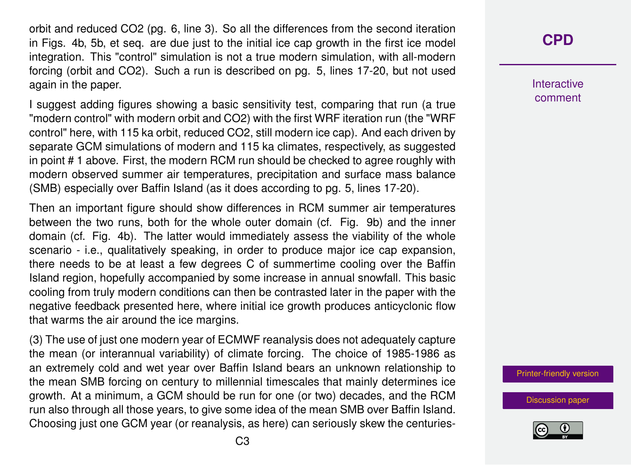orbit and reduced CO2 (pg. 6, line 3). So all the differences from the second iteration in Figs. 4b, 5b, et seq. are due just to the initial ice cap growth in the first ice model integration. This "control" simulation is not a true modern simulation, with all-modern forcing (orbit and CO2). Such a run is described on pg. 5, lines 17-20, but not used again in the paper.

I suggest adding figures showing a basic sensitivity test, comparing that run (a true "modern control" with modern orbit and CO2) with the first WRF iteration run (the "WRF control" here, with 115 ka orbit, reduced CO2, still modern ice cap). And each driven by separate GCM simulations of modern and 115 ka climates, respectively, as suggested in point # 1 above. First, the modern RCM run should be checked to agree roughly with modern observed summer air temperatures, precipitation and surface mass balance (SMB) especially over Baffin Island (as it does according to pg. 5, lines 17-20).

Then an important figure should show differences in RCM summer air temperatures between the two runs, both for the whole outer domain (cf. Fig. 9b) and the inner domain (cf. Fig. 4b). The latter would immediately assess the viability of the whole scenario - i.e., qualitatively speaking, in order to produce major ice cap expansion, there needs to be at least a few degrees C of summertime cooling over the Baffin Island region, hopefully accompanied by some increase in annual snowfall. This basic cooling from truly modern conditions can then be contrasted later in the paper with the negative feedback presented here, where initial ice growth produces anticyclonic flow that warms the air around the ice margins.

(3) The use of just one modern year of ECMWF reanalysis does not adequately capture the mean (or interannual variability) of climate forcing. The choice of 1985-1986 as an extremely cold and wet year over Baffin Island bears an unknown relationship to the mean SMB forcing on century to millennial timescales that mainly determines ice growth. At a minimum, a GCM should be run for one (or two) decades, and the RCM run also through all those years, to give some idea of the mean SMB over Baffin Island. Choosing just one GCM year (or reanalysis, as here) can seriously skew the centuries-

## **[CPD](https://www.clim-past-discuss.net/)**

**Interactive** comment

[Printer-friendly version](https://www.clim-past-discuss.net/cp-2018-5/cp-2018-5-RC1-print.pdf)

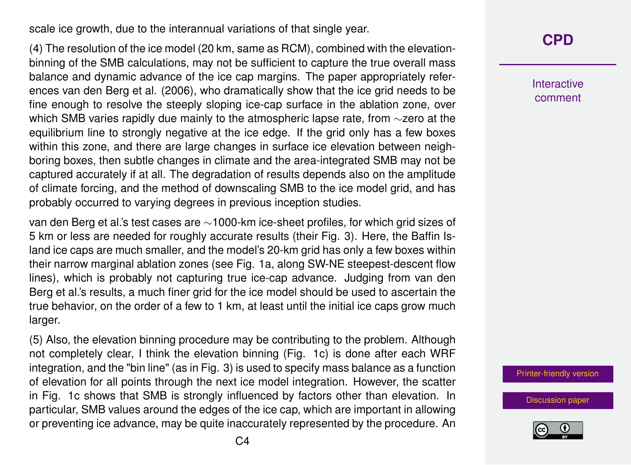scale ice growth, due to the interannual variations of that single year.

(4) The resolution of the ice model (20 km, same as RCM), combined with the elevationbinning of the SMB calculations, may not be sufficient to capture the true overall mass balance and dynamic advance of the ice cap margins. The paper appropriately references van den Berg et al. (2006), who dramatically show that the ice grid needs to be fine enough to resolve the steeply sloping ice-cap surface in the ablation zone, over which SMB varies rapidly due mainly to the atmospheric lapse rate, from ∼zero at the equilibrium line to strongly negative at the ice edge. If the grid only has a few boxes within this zone, and there are large changes in surface ice elevation between neighboring boxes, then subtle changes in climate and the area-integrated SMB may not be captured accurately if at all. The degradation of results depends also on the amplitude of climate forcing, and the method of downscaling SMB to the ice model grid, and has probably occurred to varying degrees in previous inception studies.

van den Berg et al.'s test cases are ∼1000-km ice-sheet profiles, for which grid sizes of 5 km or less are needed for roughly accurate results (their Fig. 3). Here, the Baffin Island ice caps are much smaller, and the model's 20-km grid has only a few boxes within their narrow marginal ablation zones (see Fig. 1a, along SW-NE steepest-descent flow lines), which is probably not capturing true ice-cap advance. Judging from van den Berg et al.'s results, a much finer grid for the ice model should be used to ascertain the true behavior, on the order of a few to 1 km, at least until the initial ice caps grow much larger.

(5) Also, the elevation binning procedure may be contributing to the problem. Although not completely clear, I think the elevation binning (Fig. 1c) is done after each WRF integration, and the "bin line" (as in Fig. 3) is used to specify mass balance as a function of elevation for all points through the next ice model integration. However, the scatter in Fig. 1c shows that SMB is strongly influenced by factors other than elevation. In particular, SMB values around the edges of the ice cap, which are important in allowing or preventing ice advance, may be quite inaccurately represented by the procedure. An

## **[CPD](https://www.clim-past-discuss.net/)**

**Interactive** comment

[Printer-friendly version](https://www.clim-past-discuss.net/cp-2018-5/cp-2018-5-RC1-print.pdf)